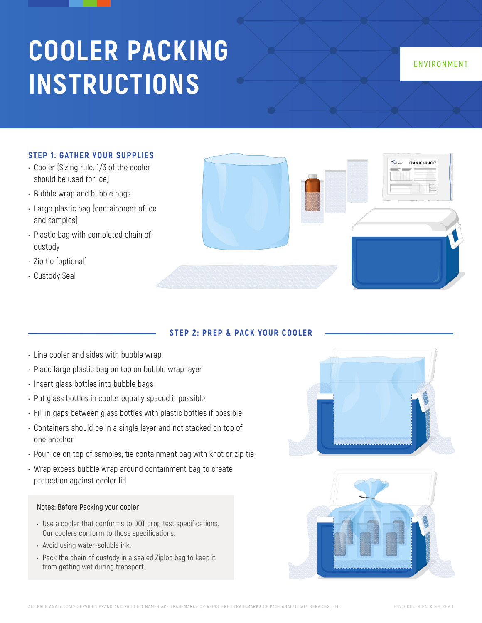# **COOLER PACKING INSTRUCTIONS**

# ENVIRONMENT

#### **STEP 1: GATHER YOUR SUPPLIES**

- Cooler (Sizing rule: 1/3 of the cooler should be used for ice)
- Bubble wrap and bubble bags
- Large plastic bag (containment of ice and samples)
- Plastic bag with completed chain of custody
- Zip tie (optional)
- Custody Seal



## **STEP 2: PREP & PACK YOUR COOLER**

- Line cooler and sides with bubble wrap
- Place large plastic bag on top on bubble wrap layer
- Insert glass bottles into bubble bags
- Put glass bottles in cooler equally spaced if possible
- Fill in gaps between glass bottles with plastic bottles if possible
- Containers should be in a single layer and not stacked on top of one another
- Pour ice on top of samples, tie containment bag with knot or zip tie
- Wrap excess bubble wrap around containment bag to create protection against cooler lid

#### **Notes: Before Packing your cooler**

- Use a cooler that conforms to DOT drop test specifications. Our coolers conform to those specifications.
- Avoid using water-soluble ink.
- Pack the chain of custody in a sealed Ziploc bag to keep it from getting wet during transport.